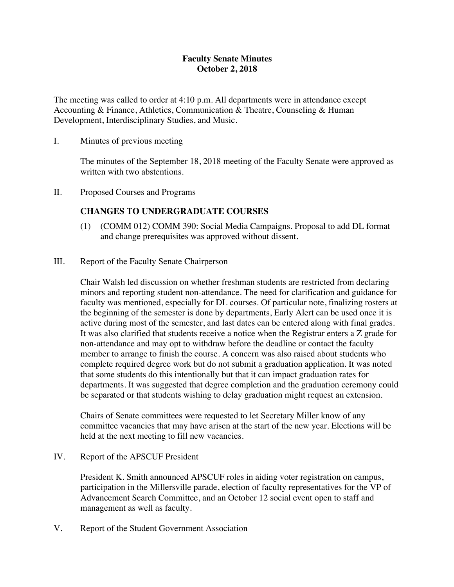### **Faculty Senate Minutes October 2, 2018**

The meeting was called to order at 4:10 p.m. All departments were in attendance except Accounting & Finance, Athletics, Communication & Theatre, Counseling & Human Development, Interdisciplinary Studies, and Music.

I. Minutes of previous meeting

The minutes of the September 18, 2018 meeting of the Faculty Senate were approved as written with two abstentions.

II. Proposed Courses and Programs

### **CHANGES TO UNDERGRADUATE COURSES**

- (1) (COMM 012) COMM 390: Social Media Campaigns. Proposal to add DL format and change prerequisites was approved without dissent.
- III. Report of the Faculty Senate Chairperson

Chair Walsh led discussion on whether freshman students are restricted from declaring minors and reporting student non-attendance. The need for clarification and guidance for faculty was mentioned, especially for DL courses. Of particular note, finalizing rosters at the beginning of the semester is done by departments, Early Alert can be used once it is active during most of the semester, and last dates can be entered along with final grades. It was also clarified that students receive a notice when the Registrar enters a Z grade for non-attendance and may opt to withdraw before the deadline or contact the faculty member to arrange to finish the course. A concern was also raised about students who complete required degree work but do not submit a graduation application. It was noted that some students do this intentionally but that it can impact graduation rates for departments. It was suggested that degree completion and the graduation ceremony could be separated or that students wishing to delay graduation might request an extension.

Chairs of Senate committees were requested to let Secretary Miller know of any committee vacancies that may have arisen at the start of the new year. Elections will be held at the next meeting to fill new vacancies.

IV. Report of the APSCUF President

President K. Smith announced APSCUF roles in aiding voter registration on campus, participation in the Millersville parade, election of faculty representatives for the VP of Advancement Search Committee, and an October 12 social event open to staff and management as well as faculty.

V. Report of the Student Government Association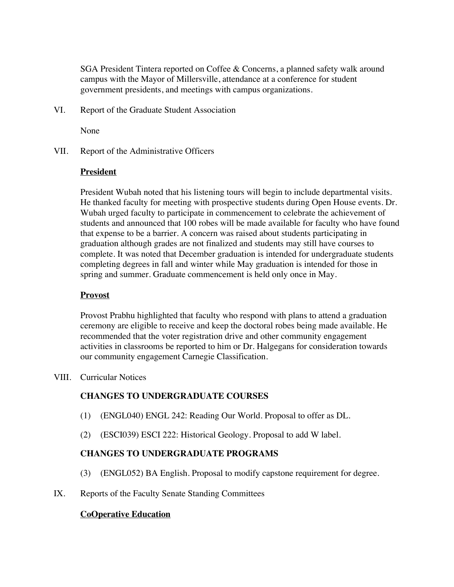SGA President Tintera reported on Coffee & Concerns, a planned safety walk around campus with the Mayor of Millersville, attendance at a conference for student government presidents, and meetings with campus organizations.

VI. Report of the Graduate Student Association

None

VII. Report of the Administrative Officers

#### **President**

President Wubah noted that his listening tours will begin to include departmental visits. He thanked faculty for meeting with prospective students during Open House events. Dr. Wubah urged faculty to participate in commencement to celebrate the achievement of students and announced that 100 robes will be made available for faculty who have found that expense to be a barrier. A concern was raised about students participating in graduation although grades are not finalized and students may still have courses to complete. It was noted that December graduation is intended for undergraduate students completing degrees in fall and winter while May graduation is intended for those in spring and summer. Graduate commencement is held only once in May.

### **Provost**

Provost Prabhu highlighted that faculty who respond with plans to attend a graduation ceremony are eligible to receive and keep the doctoral robes being made available. He recommended that the voter registration drive and other community engagement activities in classrooms be reported to him or Dr. Halgegans for consideration towards our community engagement Carnegie Classification.

VIII. Curricular Notices

### **CHANGES TO UNDERGRADUATE COURSES**

- (1) (ENGL040) ENGL 242: Reading Our World. Proposal to offer as DL.
- (2) (ESCI039) ESCI 222: Historical Geology. Proposal to add W label.

## **CHANGES TO UNDERGRADUATE PROGRAMS**

- (3) (ENGL052) BA English. Proposal to modify capstone requirement for degree.
- IX. Reports of the Faculty Senate Standing Committees

### **CoOperative Education**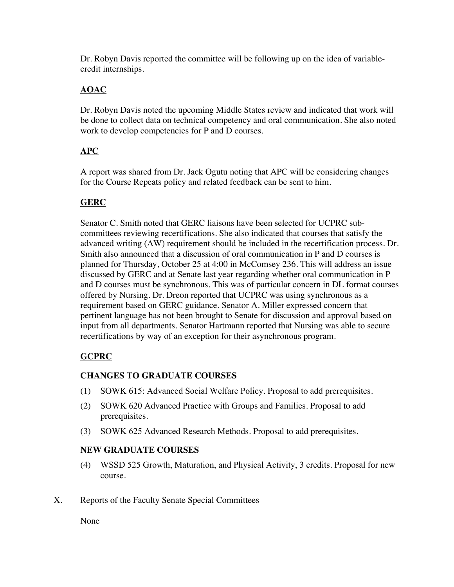Dr. Robyn Davis reported the committee will be following up on the idea of variablecredit internships.

# **AOAC**

Dr. Robyn Davis noted the upcoming Middle States review and indicated that work will be done to collect data on technical competency and oral communication. She also noted work to develop competencies for P and D courses.

## **APC**

A report was shared from Dr. Jack Ogutu noting that APC will be considering changes for the Course Repeats policy and related feedback can be sent to him.

## **GERC**

Senator C. Smith noted that GERC liaisons have been selected for UCPRC subcommittees reviewing recertifications. She also indicated that courses that satisfy the advanced writing (AW) requirement should be included in the recertification process. Dr. Smith also announced that a discussion of oral communication in P and D courses is planned for Thursday, October 25 at 4:00 in McComsey 236. This will address an issue discussed by GERC and at Senate last year regarding whether oral communication in P and D courses must be synchronous. This was of particular concern in DL format courses offered by Nursing. Dr. Dreon reported that UCPRC was using synchronous as a requirement based on GERC guidance. Senator A. Miller expressed concern that pertinent language has not been brought to Senate for discussion and approval based on input from all departments. Senator Hartmann reported that Nursing was able to secure recertifications by way of an exception for their asynchronous program.

# **GCPRC**

## **CHANGES TO GRADUATE COURSES**

- (1) SOWK 615: Advanced Social Welfare Policy. Proposal to add prerequisites.
- (2) SOWK 620 Advanced Practice with Groups and Families. Proposal to add prerequisites.
- (3) SOWK 625 Advanced Research Methods. Proposal to add prerequisites.

## **NEW GRADUATE COURSES**

- (4) WSSD 525 Growth, Maturation, and Physical Activity, 3 credits. Proposal for new course.
- X. Reports of the Faculty Senate Special Committees

None